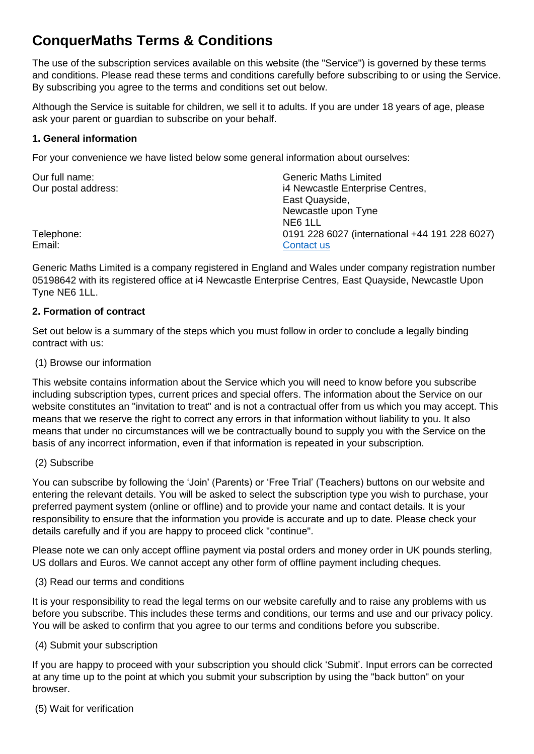# **ConquerMaths Terms & Conditions**

The use of the subscription services available on this website (the "Service") is governed by these terms and conditions. Please read these terms and conditions carefully before subscribing to or using the Service. By subscribing you agree to the terms and conditions set out below.

Although the Service is suitable for children, we sell it to adults. If you are under 18 years of age, please ask your parent or guardian to subscribe on your behalf.

## **1. General information**

For your convenience we have listed below some general information about ourselves:

| Our full name:      | <b>Generic Maths Limited</b>                   |
|---------------------|------------------------------------------------|
| Our postal address: | i4 Newcastle Enterprise Centres,               |
|                     | East Quayside,                                 |
|                     | Newcastle upon Tyne                            |
|                     | NE6 1LL                                        |
| Telephone:          | 0191 228 6027 (international +44 191 228 6027) |
| Email:              | Contact us                                     |

Generic Maths Limited is a company registered in England and Wales under company registration number 05198642 with its registered office at i4 Newcastle Enterprise Centres, East Quayside, Newcastle Upon Tyne NE6 1LL.

# **2. Formation of contract**

Set out below is a summary of the steps which you must follow in order to conclude a legally binding contract with us:

(1) Browse our information

This website contains information about the Service which you will need to know before you subscribe including subscription types, current prices and special offers. The information about the Service on our website constitutes an "invitation to treat" and is not a contractual offer from us which you may accept. This means that we reserve the right to correct any errors in that information without liability to you. It also means that under no circumstances will we be contractually bound to supply you with the Service on the basis of any incorrect information, even if that information is repeated in your subscription.

# (2) Subscribe

You can subscribe by following the 'Join' (Parents) or 'Free Trial' (Teachers) buttons on our website and entering the relevant details. You will be asked to select the subscription type you wish to purchase, your preferred payment system (online or offline) and to provide your name and contact details. It is your responsibility to ensure that the information you provide is accurate and up to date. Please check your details carefully and if you are happy to proceed click "continue".

Please note we can only accept offline payment via postal orders and money order in UK pounds sterling, US dollars and Euros. We cannot accept any other form of offline payment including cheques.

(3) Read our terms and conditions

It is your responsibility to read the legal terms on our website carefully and to raise any problems with us before you subscribe. This includes these terms and conditions, our terms and use and our privacy policy. You will be asked to confirm that you agree to our terms and conditions before you subscribe.

#### (4) Submit your subscription

If you are happy to proceed with your subscription you should click 'Submit'. Input errors can be corrected at any time up to the point at which you submit your subscription by using the "back button" on your browser.

(5) Wait for verification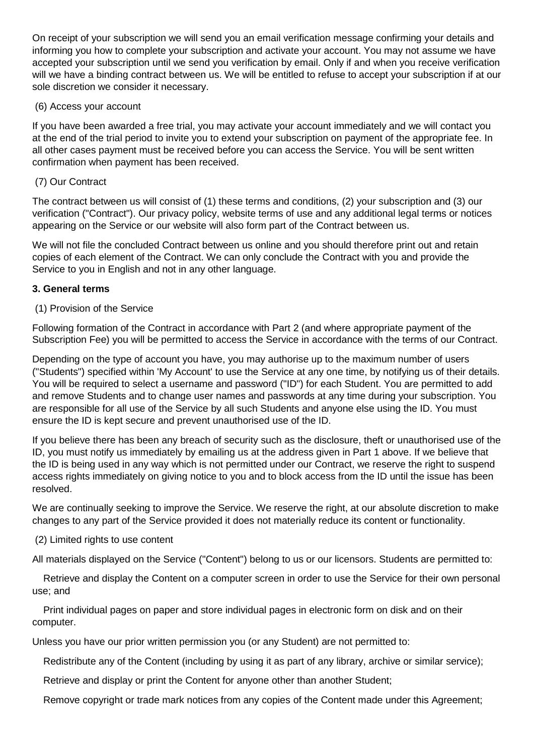On receipt of your subscription we will send you an email verification message confirming your details and informing you how to complete your subscription and activate your account. You may not assume we have accepted your subscription until we send you verification by email. Only if and when you receive verification will we have a binding contract between us. We will be entitled to refuse to accept your subscription if at our sole discretion we consider it necessary.

## (6) Access your account

If you have been awarded a free trial, you may activate your account immediately and we will contact you at the end of the trial period to invite you to extend your subscription on payment of the appropriate fee. In all other cases payment must be received before you can access the Service. You will be sent written confirmation when payment has been received.

## (7) Our Contract

The contract between us will consist of (1) these terms and conditions, (2) your subscription and (3) our verification ("Contract"). Our privacy policy, website terms of use and any additional legal terms or notices appearing on the Service or our website will also form part of the Contract between us.

We will not file the concluded Contract between us online and you should therefore print out and retain copies of each element of the Contract. We can only conclude the Contract with you and provide the Service to you in English and not in any other language.

## **3. General terms**

## (1) Provision of the Service

Following formation of the Contract in accordance with Part 2 (and where appropriate payment of the Subscription Fee) you will be permitted to access the Service in accordance with the terms of our Contract.

Depending on the type of account you have, you may authorise up to the maximum number of users ("Students") specified within 'My Account' to use the Service at any one time, by notifying us of their details. You will be required to select a username and password ("ID") for each Student. You are permitted to add and remove Students and to change user names and passwords at any time during your subscription. You are responsible for all use of the Service by all such Students and anyone else using the ID. You must ensure the ID is kept secure and prevent unauthorised use of the ID.

If you believe there has been any breach of security such as the disclosure, theft or unauthorised use of the ID, you must notify us immediately by emailing us at the address given in Part 1 above. If we believe that the ID is being used in any way which is not permitted under our Contract, we reserve the right to suspend access rights immediately on giving notice to you and to block access from the ID until the issue has been resolved.

We are continually seeking to improve the Service. We reserve the right, at our absolute discretion to make changes to any part of the Service provided it does not materially reduce its content or functionality.

(2) Limited rights to use content

All materials displayed on the Service ("Content") belong to us or our licensors. Students are permitted to:

 Retrieve and display the Content on a computer screen in order to use the Service for their own personal use; and

 Print individual pages on paper and store individual pages in electronic form on disk and on their computer.

Unless you have our prior written permission you (or any Student) are not permitted to:

Redistribute any of the Content (including by using it as part of any library, archive or similar service);

Retrieve and display or print the Content for anyone other than another Student;

Remove copyright or trade mark notices from any copies of the Content made under this Agreement;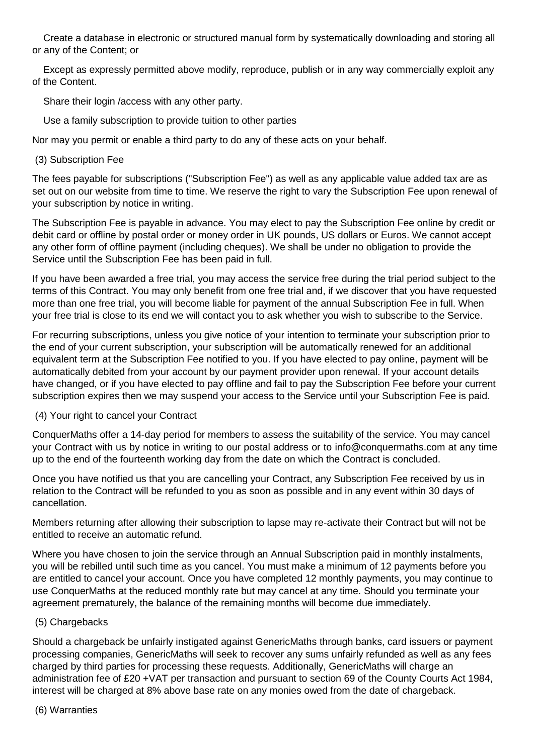Create a database in electronic or structured manual form by systematically downloading and storing all or any of the Content; or

Except as expressly permitted above modify, reproduce, publish or in any way commercially exploit any of the Content.

Share their login /access with any other party.

Use a family subscription to provide tuition to other parties

Nor may you permit or enable a third party to do any of these acts on your behalf.

# (3) Subscription Fee

The fees payable for subscriptions ("Subscription Fee") as well as any applicable value added tax are as set out on our website from time to time. We reserve the right to vary the Subscription Fee upon renewal of your subscription by notice in writing.

The Subscription Fee is payable in advance. You may elect to pay the Subscription Fee online by credit or debit card or offline by postal order or money order in UK pounds, US dollars or Euros. We cannot accept any other form of offline payment (including cheques). We shall be under no obligation to provide the Service until the Subscription Fee has been paid in full.

If you have been awarded a free trial, you may access the service free during the trial period subject to the terms of this Contract. You may only benefit from one free trial and, if we discover that you have requested more than one free trial, you will become liable for payment of the annual Subscription Fee in full. When your free trial is close to its end we will contact you to ask whether you wish to subscribe to the Service.

For recurring subscriptions, unless you give notice of your intention to terminate your subscription prior to the end of your current subscription, your subscription will be automatically renewed for an additional equivalent term at the Subscription Fee notified to you. If you have elected to pay online, payment will be automatically debited from your account by our payment provider upon renewal. If your account details have changed, or if you have elected to pay offline and fail to pay the Subscription Fee before your current subscription expires then we may suspend your access to the Service until your Subscription Fee is paid.

# (4) Your right to cancel your Contract

ConquerMaths offer a 14-day period for members to assess the suitability of the service. You may cancel your Contract with us by notice in writing to our postal address or to info@conquermaths.com at any time up to the end of the fourteenth working day from the date on which the Contract is concluded.

Once you have notified us that you are cancelling your Contract, any Subscription Fee received by us in relation to the Contract will be refunded to you as soon as possible and in any event within 30 days of cancellation.

Members returning after allowing their subscription to lapse may re-activate their Contract but will not be entitled to receive an automatic refund.

Where you have chosen to join the service through an Annual Subscription paid in monthly instalments, you will be rebilled until such time as you cancel. You must make a minimum of 12 payments before you are entitled to cancel your account. Once you have completed 12 monthly payments, you may continue to use ConquerMaths at the reduced monthly rate but may cancel at any time. Should you terminate your agreement prematurely, the balance of the remaining months will become due immediately.

# (5) Chargebacks

Should a chargeback be unfairly instigated against GenericMaths through banks, card issuers or payment processing companies, GenericMaths will seek to recover any sums unfairly refunded as well as any fees charged by third parties for processing these requests. Additionally, GenericMaths will charge an administration fee of £20 +VAT per transaction and pursuant to section 69 of the County Courts Act 1984, interest will be charged at 8% above base rate on any monies owed from the date of chargeback.

# (6) Warranties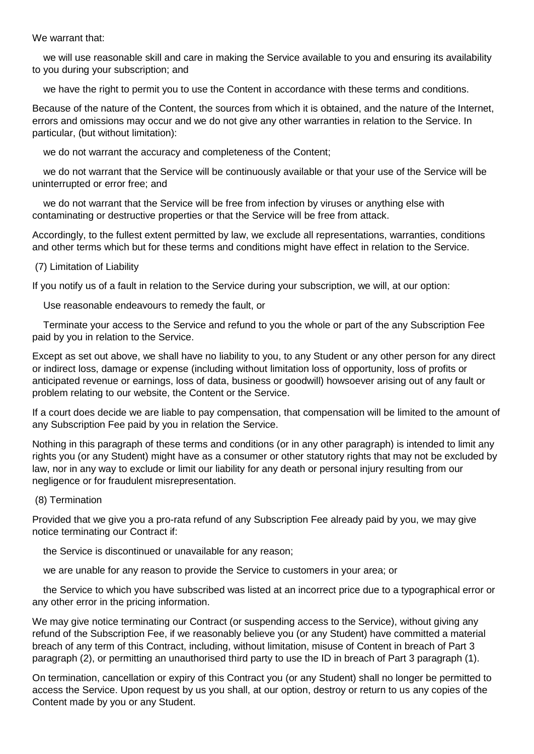We warrant that:

 we will use reasonable skill and care in making the Service available to you and ensuring its availability to you during your subscription; and

we have the right to permit you to use the Content in accordance with these terms and conditions.

Because of the nature of the Content, the sources from which it is obtained, and the nature of the Internet, errors and omissions may occur and we do not give any other warranties in relation to the Service. In particular, (but without limitation):

we do not warrant the accuracy and completeness of the Content;

 we do not warrant that the Service will be continuously available or that your use of the Service will be uninterrupted or error free; and

 we do not warrant that the Service will be free from infection by viruses or anything else with contaminating or destructive properties or that the Service will be free from attack.

Accordingly, to the fullest extent permitted by law, we exclude all representations, warranties, conditions and other terms which but for these terms and conditions might have effect in relation to the Service.

#### (7) Limitation of Liability

If you notify us of a fault in relation to the Service during your subscription, we will, at our option:

Use reasonable endeavours to remedy the fault, or

 Terminate your access to the Service and refund to you the whole or part of the any Subscription Fee paid by you in relation to the Service.

Except as set out above, we shall have no liability to you, to any Student or any other person for any direct or indirect loss, damage or expense (including without limitation loss of opportunity, loss of profits or anticipated revenue or earnings, loss of data, business or goodwill) howsoever arising out of any fault or problem relating to our website, the Content or the Service.

If a court does decide we are liable to pay compensation, that compensation will be limited to the amount of any Subscription Fee paid by you in relation the Service.

Nothing in this paragraph of these terms and conditions (or in any other paragraph) is intended to limit any rights you (or any Student) might have as a consumer or other statutory rights that may not be excluded by law, nor in any way to exclude or limit our liability for any death or personal injury resulting from our negligence or for fraudulent misrepresentation.

#### (8) Termination

Provided that we give you a pro-rata refund of any Subscription Fee already paid by you, we may give notice terminating our Contract if:

the Service is discontinued or unavailable for any reason;

we are unable for any reason to provide the Service to customers in your area; or

 the Service to which you have subscribed was listed at an incorrect price due to a typographical error or any other error in the pricing information.

We may give notice terminating our Contract (or suspending access to the Service), without giving any refund of the Subscription Fee, if we reasonably believe you (or any Student) have committed a material breach of any term of this Contract, including, without limitation, misuse of Content in breach of Part 3 paragraph (2), or permitting an unauthorised third party to use the ID in breach of Part 3 paragraph (1).

On termination, cancellation or expiry of this Contract you (or any Student) shall no longer be permitted to access the Service. Upon request by us you shall, at our option, destroy or return to us any copies of the Content made by you or any Student.